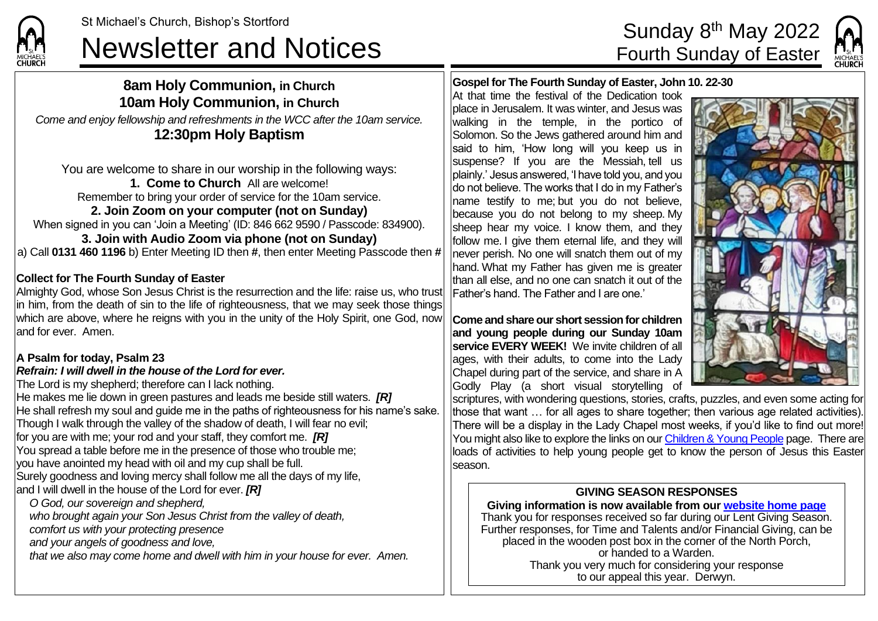# St Michael's Church, Bishop's Stortford<br>Newsletter and Notices Fourth Sunday of Easter



### **8am Holy Communion, in Church 10am Holy Communion, in Church**

*Come and enjoy fellowship and refreshments in the WCC after the 10am service.* **12:30pm Holy Baptism**

You are welcome to share in our worship in the following ways: **1. Come to Church** All are welcome! Remember to bring your order of service for the 10am service. **2. Join Zoom on your computer (not on Sunday)** When signed in you can 'Join a Meeting' (ID: 846 662 9590 / Passcode: 834900). **3. Join with Audio Zoom via phone (not on Sunday)** a) Call **0131 460 1196** b) Enter Meeting ID then **#**, then enter Meeting Passcode then **#**

#### **Collect for The Fourth Sunday of Easter**

Almighty God, whose Son Jesus Christ is the resurrection and the life: raise us, who trust in him, from the death of sin to the life of righteousness, that we may seek those things which are above, where he reigns with you in the unity of the Holy Spirit, one God, now and for ever. Amen.

### **A Psalm for today, Psalm 23**

#### *Refrain: I will dwell in the house of the Lord for ever.*

The Lord is my shepherd; therefore can I lack nothing. He makes me lie down in green pastures and leads me beside still waters. *[R]* He shall refresh my soul and guide me in the paths of righteousness for his name's sake. Though I walk through the valley of the shadow of death, I will fear no evil; for you are with me; your rod and your staff, they comfort me. *[R]* You spread a table before me in the presence of those who trouble me; you have anointed my head with oil and my cup shall be full. Surely goodness and loving mercy shall follow me all the days of my life, and I will dwell in the house of the Lord for ever. *[R] O God, our sovereign and shepherd, who brought again your Son Jesus Christ from the valley of death,*

*comfort us with your protecting presence*

*and your angels of goodness and love,*

*that we also may come home and dwell with him in your house for ever. Amen.*

**Gospel for The Fourth Sunday of Easter, John 10. 22-30**

At that time the festival of the Dedication took place in Jerusalem. It was winter, and Jesus was walking in the temple, in the portico of Solomon. So the Jews gathered around him and said to him, 'How long will you keep us in suspense? If you are the Messiah, tell us plainly.' Jesus answered, 'I have told you, and you do not believe. The works that I do in my Father's name testify to me; but you do not believe, because you do not belong to my sheep. My sheep hear my voice. I know them, and they follow me. I give them eternal life, and they will never perish. No one will snatch them out of my hand. What my Father has given me is greater than all else, and no one can snatch it out of the Father's hand. The Father and I are one.'

**Come and share our short session for children and young people during our Sunday 10am service EVERY WEEK!** We invite children of all ages, with their adults, to come into the Lady Chapel during part of the service, and share in A Godly Play (a short visual storytelling of



scriptures, with wondering questions, stories, crafts, puzzles, and even some acting for those that want … for all ages to share together; then various age related activities). There will be a display in the Lady Chapel most weeks, if you'd like to find out more! You might also like to explore the links on ou[r Children & Young People](https://saintmichaelweb.org.uk/Groups/310496/Children_and_Young.aspx) page. There are loads of activities to help young people get to know the person of Jesus this Easter season.

#### **GIVING SEASON RESPONSES**

**Giving information is now available from our [website home page](https://saintmichaelweb.org.uk/)** Thank you for responses received so far during our Lent Giving Season. Further responses, for Time and Talents and/or Financial Giving, can be placed in the wooden post box in the corner of the North Porch, or handed to a Warden. Thank you very much for considering your response to our appeal this year. Derwyn.